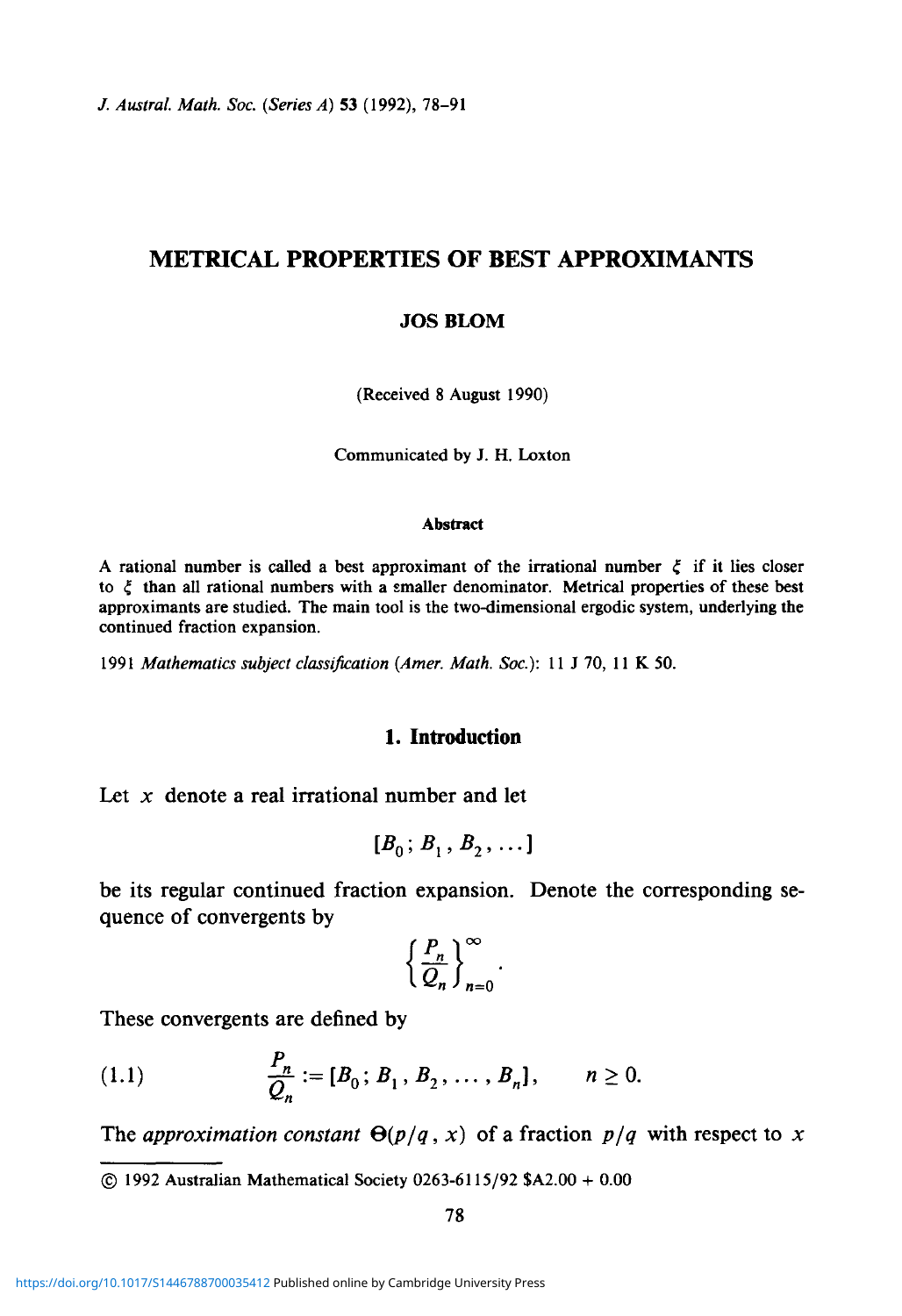*J. Austral. Math. Soc. (Series A)* 53 (1992), 78-91

# **METRICAL PROPERTIES OF BEST APPROXIMANTS**

#### **JOS BLOM**

(Received 8 August 1990)

Communicated by J. H. Loxton

#### **Abstract**

A rational number is called a best approximant of the irrational number  $\xi$  if it lies closer to  $\xi$  than all rational numbers with a smaller denominator. Metrical properties of these best approximants are studied. The main tool is the two-dimensional ergodic system, underlying the continued fraction expansion.

1991 *Mathematics subject classification (Amer. Math. Soc):* 11 J 70, 11 K 50.

## **1. Introduction**

Let x denote a real irrational number and let

$$
[B_0; B_1, B_2, \dots]
$$

be its regular continued fraction expansion. Denote the corresponding sequence of convergents by

$$
\left\{\frac{P_n}{Q_n}\right\}_{n=0}^{\infty}.
$$

These convergents are defined by

(1.1) 
$$
\frac{P_n}{Q_n} := [B_0; B_1, B_2, \dots, B_n], \quad n \ge 0.
$$

The *approximation constant*  $\Theta(p/q, x)$  of a fraction  $p/q$  with respect to x

*©* 1992 Australian Mathematical Society 0263-6115/92 \$A2.00 + 0.00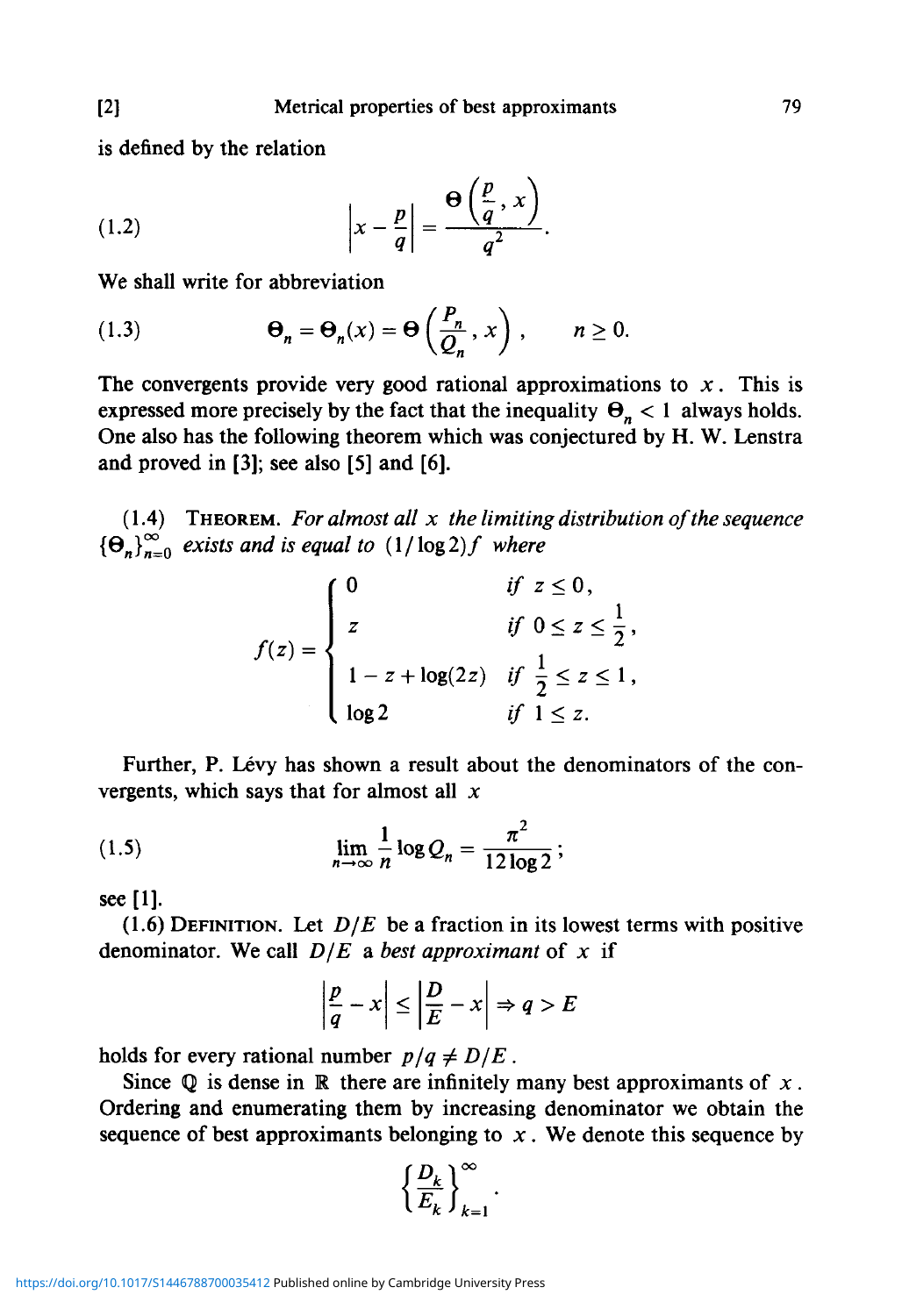is defined by the relation

(1.2) 
$$
\left|x - \frac{p}{q}\right| = \frac{\Theta\left(\frac{p}{q}, x\right)}{q^2}.
$$

We shall write for abbreviation

(1.3) 
$$
\Theta_n = \Theta_n(x) = \Theta\left(\frac{P_n}{Q_n}, x\right), \qquad n \ge 0.
$$

The convergents provide very good rational approximations to *x.* This is expressed more precisely by the fact that the inequality  $\Theta_n < 1$  always holds. One also has the following theorem which was conjectured by H. W. Lenstra and proved in [3]; see also [5] and [6].

(1.4) THEOREM. *For almost all x the limiting distribution of the sequence*  ${\Theta_n}^{\infty}_{n=0}$  exists and is equal to  $(1/\log 2)f$  where

$$
f(z) = \begin{cases} 0 & \text{if } z \le 0, \\ z & \text{if } 0 \le z \le \frac{1}{2}, \\ 1 - z + \log(2z) & \text{if } \frac{1}{2} \le z \le 1, \\ \log 2 & \text{if } 1 \le z. \end{cases}
$$

Further, P. Lévy has shown a result about the denominators of the convergents, which says that for almost all *x*

(1.5) 
$$
\lim_{n \to \infty} \frac{1}{n} \log Q_n = \frac{\pi^2}{12 \log 2};
$$

see [1].

(1.6) DEFINITION. Let  $D/E$  be a fraction in its lowest terms with positive denominator. We call *D/E* a *best approximant* of *x* if

$$
\left|\frac{p}{q} - x\right| \le \left|\frac{D}{E} - x\right| \Rightarrow q > E
$$

holds for every rational number  $p/q \neq D/E$ .

Since  $Q$  is dense in  $\mathbb R$  there are infinitely many best approximants of  $x$ . Ordering and enumerating them by increasing denominator we obtain the sequence of best approximants belonging to  $x$ . We denote this sequence by

$$
\left\{\frac{D_k}{E_k}\right\}_{k=1}^{\infty}
$$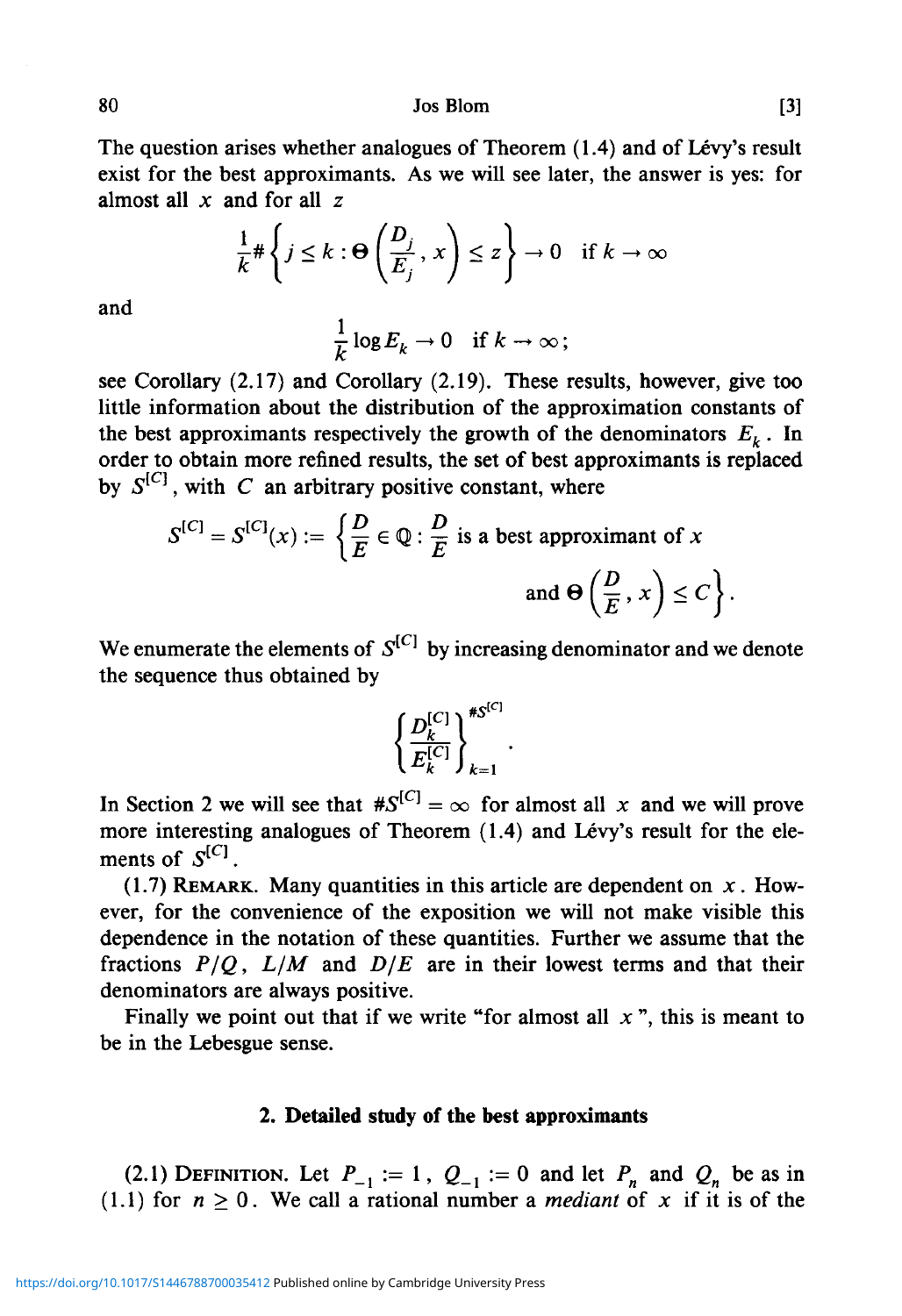80 Jos Blom [3]

The question arises whether analogues of Theorem (1.4) and of Lévy's result exist for the best approximants. As we will see later, the answer is yes: for almost all *x* and for all z

$$
\frac{1}{k} \# \left\{ j \leq k : \Theta \left( \frac{D_j}{E_j}, x \right) \leq z \right\} \to 0 \quad \text{if } k \to \infty
$$

and

$$
\frac{1}{k}\log E_k\to 0 \quad \text{if } k\to\infty\,;
$$

see Corollary (2.17) and Corollary (2.19). These results, however, give too little information about the distribution of the approximation constants of the best approximants respectively the growth of the denominators  $E_k$ . In order to obtain more refined results, the set of best approximants is replaced by  $S^{[C]}$ , with C an arbitrary positive constant, where

$$
S^{[C]} = S^{[C]}(x) := \left\{ \frac{D}{E} \in \mathbb{Q} : \frac{D}{E} \text{ is a best approximant of } x \text{ and } \Theta\left(\frac{D}{E}, x\right) \le C \right\}.
$$

We enumerate the elements of  $S^{[C]}$  by increasing denominator and we denote the sequence thus obtained by

$$
\left\{\frac{D_{k}^{[C]}}{E_{k}^{[C]}}\right\}_{k=1}^{\#S^{[C]}}.
$$

In Section 2 we will see that  $#S^{[C]} = \infty$  for almost all x and we will prove more interesting analogues of Theorem  $(1.4)$  and Lévy's result for the elements of  $S^{[C]}$ .

(1.7) REMARK. Many quantities in this article are dependent on *x.* However, for the convenience of the exposition we will not make visible this dependence in the notation of these quantities. Further we assume that the fractions *P/Q, L/M* and *D/E* are in their lowest terms and that their denominators are always positive.

Finally we point out that if we write "for almost all *x* ", this is meant to be in the Lebesgue sense.

### **2. Detailed study of the best approximants**

(2.1) DEFINITION. Let  $P_{-1} := 1$ ,  $Q_{-1} := 0$  and let  $P_n$  and  $Q_n$  be as in (1.1) for  $n \ge 0$ . We call a rational number a *mediant* of x if it is of the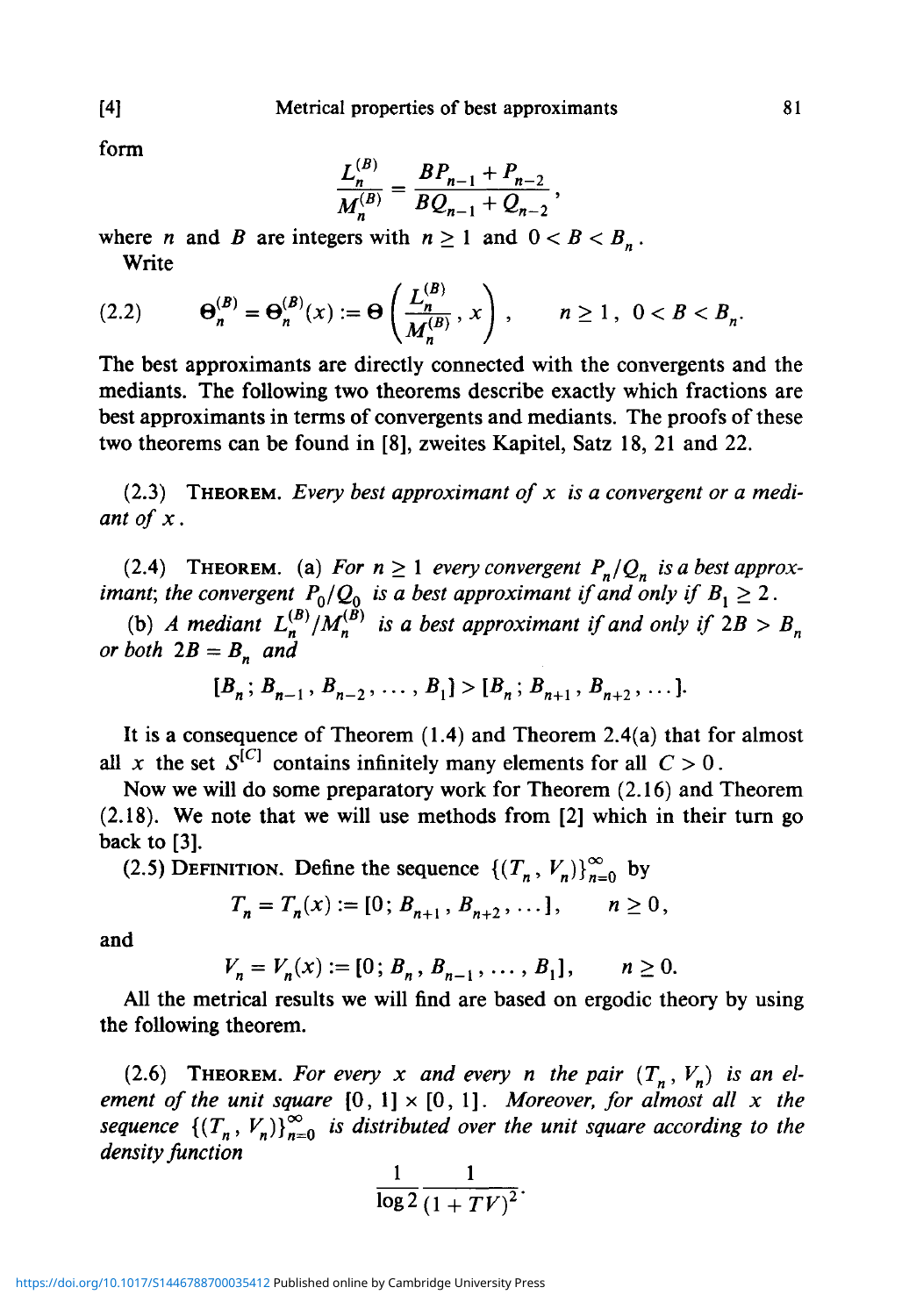form

$$
\frac{L_n^{(B)}}{M_n^{(B)}} = \frac{BP_{n-1} + P_{n-2}}{BQ_{n-1} + Q_{n-2}},
$$

where *n* and *B* are integers with  $n \ge 1$  and  $0 < B < B_n$ . Write

$$
(2.2) \qquad \Theta_n^{(B)} = \Theta_n^{(B)}(x) := \Theta\left(\frac{L_n^{(B)}}{M_n^{(B)}}, x\right), \qquad n \ge 1, \ 0 < B < B_n.
$$

The best approximants are directly connected with the convergents and the mediants. The following two theorems describe exactly which fractions are best approximants in terms of convergents and mediants. The proofs of these two theorems can be found in [8], zweites Kapitel, Satz 18, 21 and 22.

(2.3) THEOREM. *Every best approximant of x is a convergent or a mediant of x.*

(2.4) THEOREM. (a) For  $n \ge 1$  every convergent  $P_n/Q_n$  is a best approx*imant; the convergent*  $P_0/Q_0$  *is a best approximant if and only if*  $B_1 \ge 2$ .

(b) A mediant  $L_n^{(B)}/M_n^{(B)}$  is a best approximant if and only if  $2B > B_n$ *or both*  $2B = B_n$  *and* 

$$
[B_n; B_{n-1}, B_{n-2}, \ldots, B_1] > [B_n; B_{n+1}, B_{n+2}, \ldots].
$$

It is a consequence of Theorem (1.4) and Theorem 2.4(a) that for almost all *x* the set  $S^{[C]}$  contains infinitely many elements for all  $C > 0$ .

Now we will do some preparatory work for Theorem (2.16) and Theorem (2.18). We note that we will use methods from [2] which in their turn go back to [3].

(2.5) DEFINITION. Define the sequence  $\left\{ (T_n, V_n) \right\}_{n=0}^{\infty}$  by

$$
T_n = T_n(x) := [0; B_{n+1}, B_{n+2}, \dots], \quad n \ge 0,
$$

and

$$
V_n = V_n(x) := [0; B_n, B_{n-1}, \dots, B_1], \quad n \ge 0.
$$

All the metrical results we will find are based on ergodic theory by using the following theorem.

(2.6) **THEOREM.** For every x and every n the pair  $(T_n, V_n)$  is an el*ement of the unit square*  $[0, 1] \times [0, 1]$ *. Moreover, for almost all x the sequence*  $\{(T_n, V_n)\}_{n=0}^{\infty}$  *is distributed over the unit square according to the density function*

$$
\frac{1}{\log 2} \frac{1}{\left(1+TV\right)^2}.
$$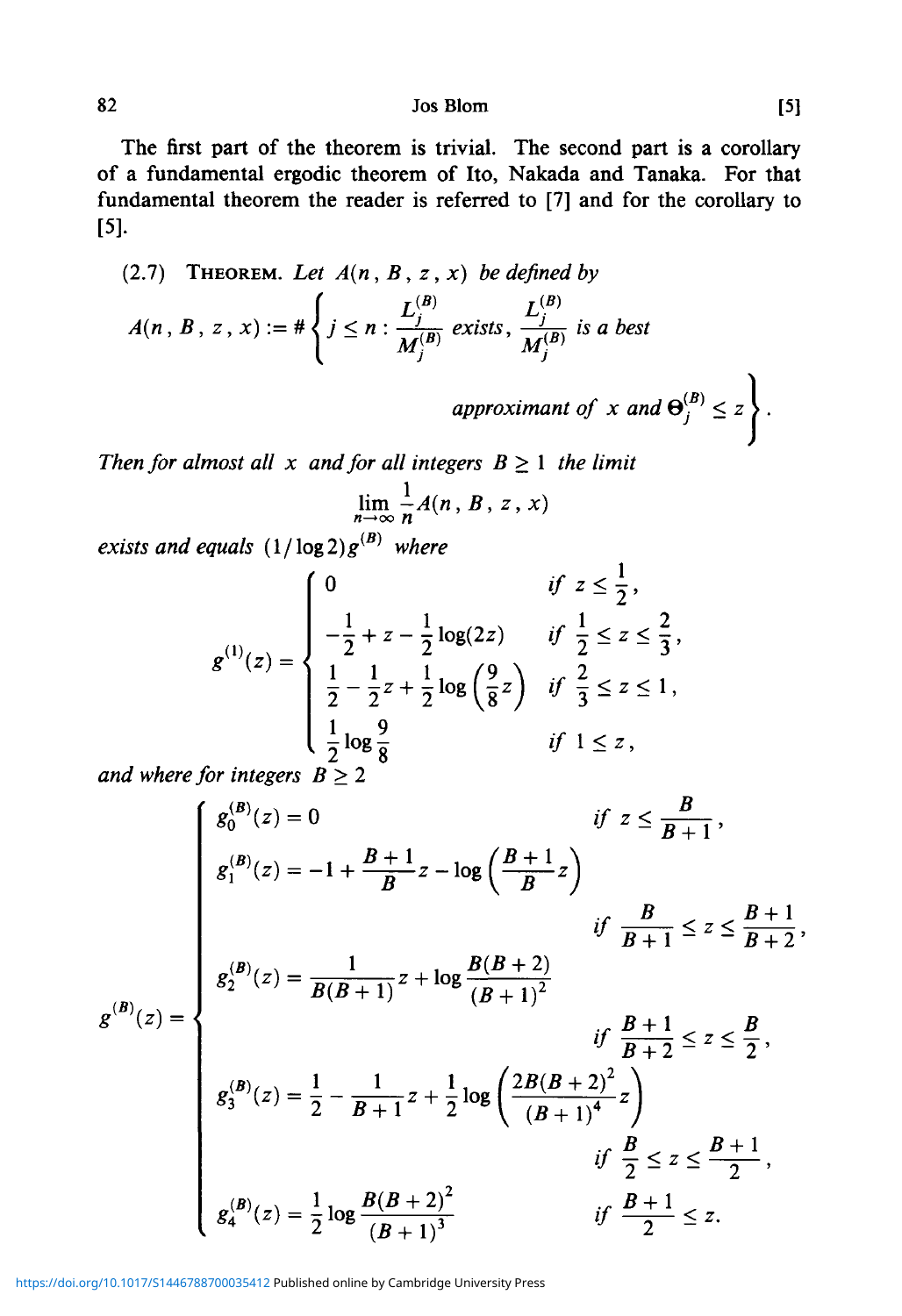$82$  Jos Blom [5]

The first part of the theorem is trivial. The second part is a corollary of a fundamental ergodic theorem of Ito, Nakada and Tanaka. For that fundamental theorem the reader is referred to [7] and for the corollary to [5].

(2.7) THEOREM. Let 
$$
A(n, B, z, x)
$$
 be defined by  
\n
$$
A(n, B, z, x) := # \begin{cases} j \leq n : \frac{L_j^{(B)}}{M_j^{(B)}} \text{ exists, } \frac{L_j^{(B)}}{M_j^{(B)}} \text{ is a best} \end{cases}
$$

*approximant of*  $x$  *and*  $\Theta_j^{(B)} \leq z$ .

*Then for almost all x and for all integers*  $B \ge 1$  *the limit*  $\mathbf{1}$ 

$$
\lim_{n\to\infty}\frac{1}{n}A(n, B, z, x)
$$

 $exists$  and equals  $(1/\log 2)g^{(B)}$  where

$$
g^{(1)}(z) = \begin{cases} 0 & \text{if } z \leq \frac{1}{2}, \\ -\frac{1}{2} + z - \frac{1}{2} \log(2z) & \text{if } \frac{1}{2} \leq z \leq \frac{2}{3}, \\ \frac{1}{2} - \frac{1}{2}z + \frac{1}{2} \log\left(\frac{9}{8}z\right) & \text{if } \frac{2}{3} \leq z \leq 1, \\ \frac{1}{2} \log \frac{9}{8} & \text{if } 1 \leq z, \end{cases}
$$

*and where for integers*  $B \geq 2$ 

**B(B** *if z< B* 5 + 1 ' *•t B ^ ^ B if* r *B+l* < *Z < B + 2' B* **1** *B* **- - 2 '** *., B+l if* —2~ < *z.*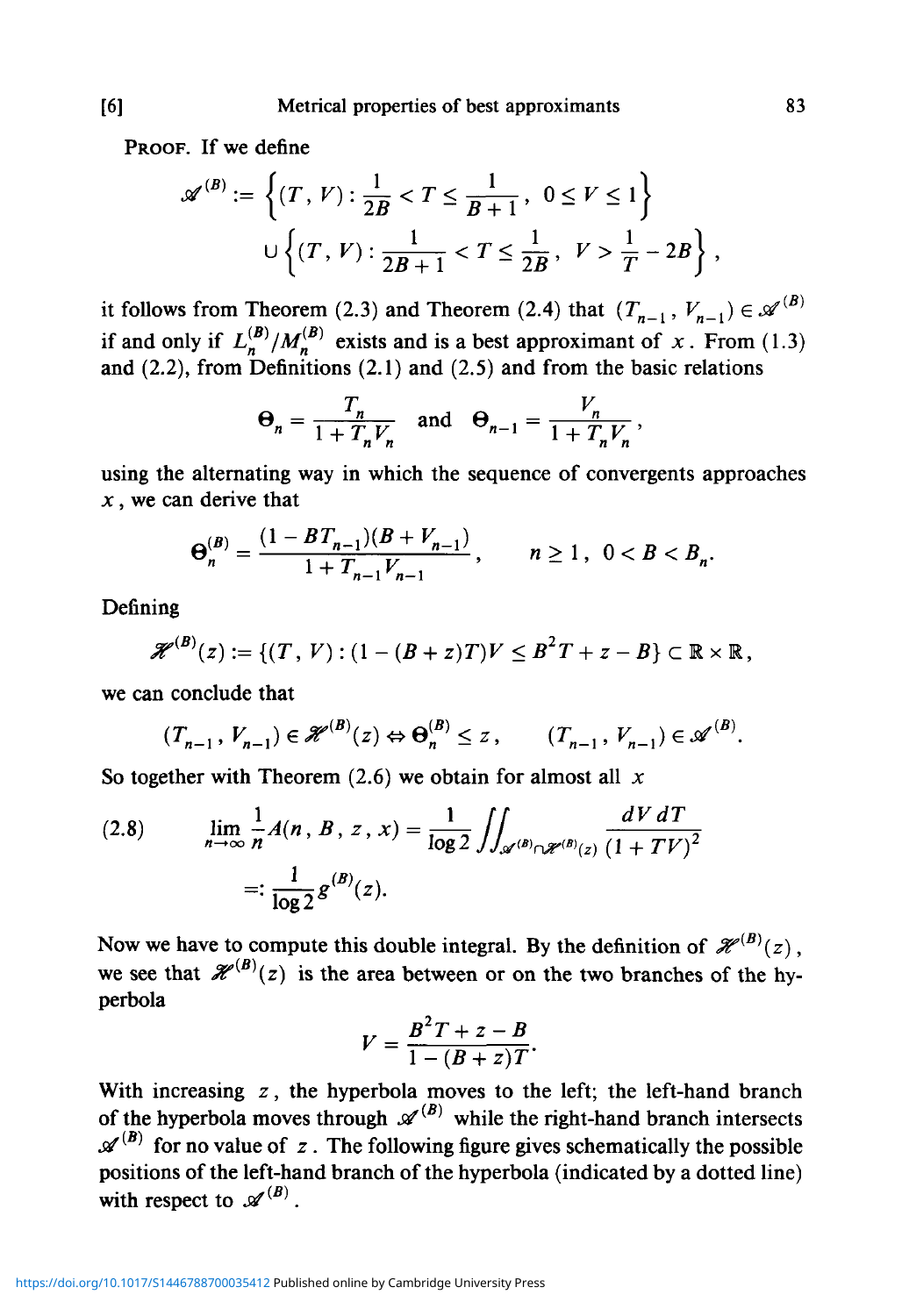PROOF. If we define

$$
\mathscr{A}^{(B)} := \left\{ (T, V) : \frac{1}{2B} < T \le \frac{1}{B+1}, \ 0 \le V \le 1 \right\}
$$
\n
$$
\cup \left\{ (T, V) : \frac{1}{2B+1} < T \le \frac{1}{2B}, \ V > \frac{1}{T} - 2B \right\},
$$

it follows from Theorem (2.3) and Theorem (2.4) that  $(T_{n-1}, V_{n-1}) \in \mathcal{A}^{(B)}$ if and only if  $L_n^{(B)}/M_n^{(B)}$  exists and is a best approximant of x. From (1.3) and (2.2), from Definitions (2.1) and (2.5) and from the basic relations

$$
\Theta_n = \frac{T_n}{1 + T_n V_n} \quad \text{and} \quad \Theta_{n-1} = \frac{V_n}{1 + T_n V_n},
$$

using the alternating way in which the sequence of convergents approaches *x,* we can derive that

$$
\Theta_n^{(B)} = \frac{(1 - BT_{n-1})(B + V_{n-1})}{1 + T_{n-1}V_{n-1}}, \qquad n \ge 1, \ \ 0 < B < B_n.
$$

Defining

$$
\mathscr{H}^{(B)}(z) := \{ (T, V) : (1 - (B + z)T)V \leq B^2T + z - B \} \subset \mathbb{R} \times \mathbb{R},
$$

we can conclude that

$$
(T_{n-1}, V_{n-1}) \in \mathcal{H}^{(B)}(z) \Leftrightarrow \Theta_n^{(B)} \le z, \qquad (T_{n-1}, V_{n-1}) \in \mathcal{A}^{(B)}.
$$

So together with Theorem (2.6) we obtain for almost all *x*

(2.8) 
$$
\lim_{n \to \infty} \frac{1}{n} A(n, B, z, x) = \frac{1}{\log 2} \iint_{\mathscr{A}^{(B)} \cap \mathscr{H}^{(B)}(z)} \frac{dV dT}{(1 + TV)^2}
$$

$$
=: \frac{1}{\log 2} g^{(B)}(z).
$$

Now we have to compute this double integral. By the definition of  $\mathcal{H}^{(B)}(z)$ , we see that  $\mathscr{H}^{(B)}(z)$  is the area between or on the two branches of the hyperbola

$$
V=\frac{B^2T+z-B}{1-(B+z)T}.
$$

With increasing  $z$ , the hyperbola moves to the left; the left-hand branch of the hyperbola moves through  $\mathscr{A}^{(B)}$  while the right-hand branch intersects  $\mathscr{A}^{(B)}$  for no value of z. The following figure gives schematically the possible positions of the left-hand branch of the hyperbola (indicated by a dotted line) with respect to  $\mathscr{A}^{(B)}$ .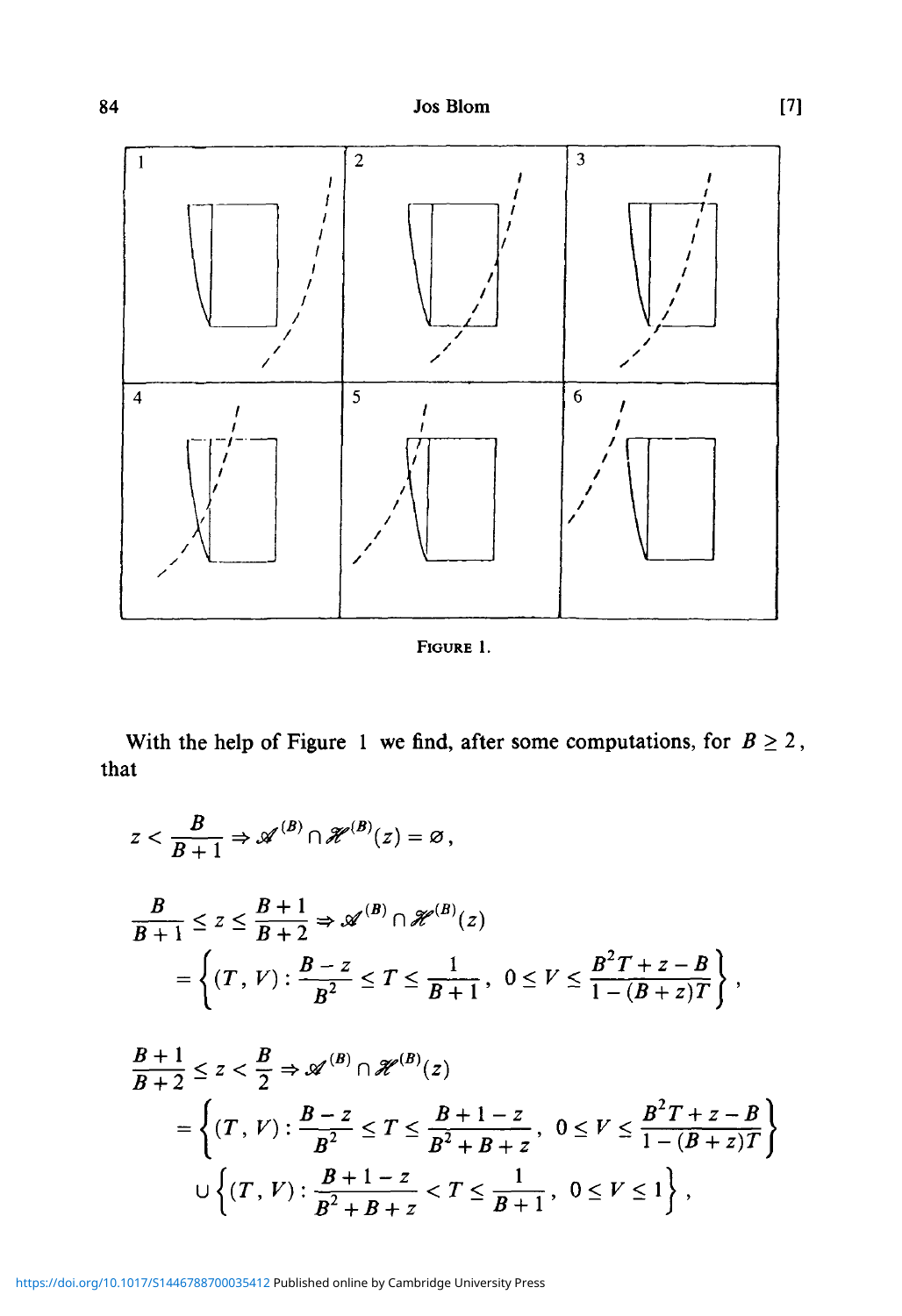

FIGURE 1.

With the help of Figure 1 we find, after some computations, for  $B \ge 2$ , that

$$
z < \frac{B}{B+1} \Rightarrow \mathcal{A}^{(B)} \cap \mathcal{H}^{(B)}(z) = \emptyset,
$$
  
\n
$$
\frac{B}{B+1} \le z \le \frac{B+1}{B+2} \Rightarrow \mathcal{A}^{(B)} \cap \mathcal{H}^{(B)}(z)
$$
  
\n
$$
= \left\{ (T, V) : \frac{B-z}{B^2} \le T \le \frac{1}{B+1}, 0 \le V \le \frac{B^2T+z-B}{1-(B+z)T} \right\},
$$
  
\n
$$
\frac{B+1}{B+2} \le z < \frac{B}{2} \Rightarrow \mathcal{A}^{(B)} \cap \mathcal{H}^{(B)}(z)
$$
  
\n
$$
= \left\{ (T, V) : \frac{B-z}{B^2} \le T \le \frac{B+1-z}{B^2+B+z}, 0 \le V \le \frac{B^2T+z-B}{1-(B+z)T} \right\}
$$
  
\n
$$
\cup \left\{ (T, V) : \frac{B+1-z}{B^2+B+z} < T \le \frac{1}{B+1}, 0 \le V \le 1 \right\},
$$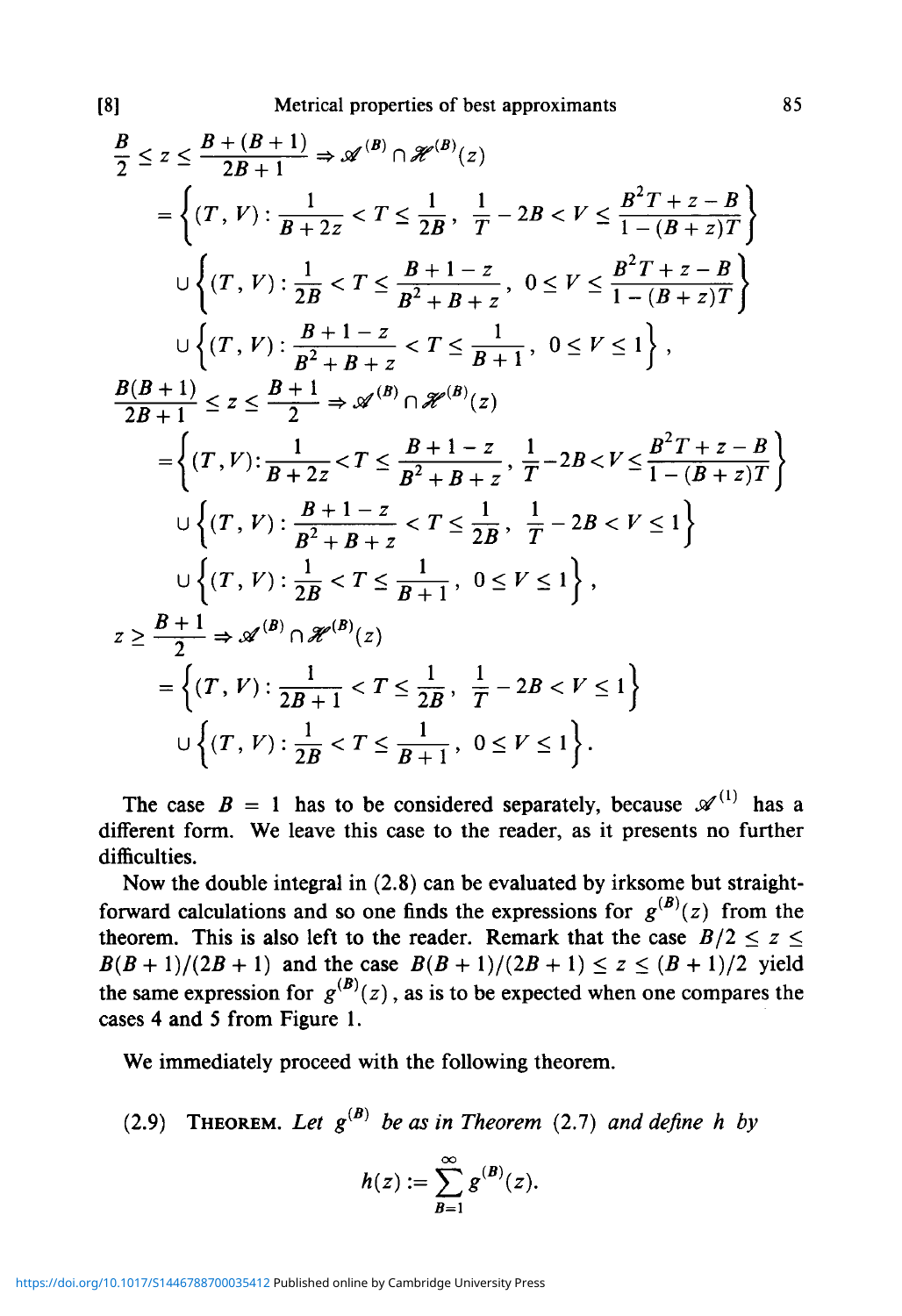$$
\frac{B}{2} \leq z \leq \frac{B + (B + 1)}{2B + 1} \Rightarrow \mathcal{A}^{(B)} \cap \mathcal{H}^{(B)}(z)
$$
\n
$$
= \left\{ (T, V) : \frac{1}{B + 2z} < T \leq \frac{1}{2B}, \frac{1}{T} - 2B < V \leq \frac{B^2 T + z - B}{1 - (B + z)T} \right\}
$$
\n
$$
\cup \left\{ (T, V) : \frac{1}{2B} < T \leq \frac{B + 1 - z}{B^2 + B + z}, 0 \leq V \leq \frac{B^2 T + z - B}{1 - (B + z)T} \right\}
$$
\n
$$
\cup \left\{ (T, V) : \frac{B + 1 - z}{B^2 + B + z} < T \leq \frac{1}{B + 1}, 0 \leq V \leq 1 \right\},
$$
\n
$$
\frac{B(B + 1)}{2B + 1} \leq z \leq \frac{B + 1}{2} \Rightarrow \mathcal{A}^{(B)} \cap \mathcal{H}^{(B)}(z)
$$
\n
$$
= \left\{ (T, V) : \frac{1}{B + 2z} < T \leq \frac{B + 1 - z}{B^2 + B + z}, \frac{1}{T} - 2B < V \leq \frac{B^2 T + z - B}{1 - (B + z)T} \right\}
$$
\n
$$
\cup \left\{ (T, V) : \frac{B + 1 - z}{B^2 + B + z} < T \leq \frac{1}{2B}, \frac{1}{T} - 2B < V \leq 1 \right\}
$$
\n
$$
\cup \left\{ (T, V) : \frac{1}{2B} < T \leq \frac{1}{B + 1}, 0 \leq V \leq 1 \right\},
$$
\n
$$
z \geq \frac{B + 1}{2} \Rightarrow \mathcal{A}^{(B)} \cap \mathcal{H}^{(B)}(z)
$$
\n
$$
= \left\{ (T, V) : \frac{1}{2B + 1} < T \leq \frac{1}{2B}, \frac{1}{T} - 2B < V \leq 1 \right\}
$$
\n
$$
\cup \left\{ (T, V) : \frac{1}{2B} &
$$

The case  $B = 1$  has to be considered separately, because  $\mathscr{A}^{(1)}$  has a different form. We leave this case to the reader, as it presents no further difficulties.

Now the double integral in (2.8) can be evaluated by irksome but straightforward calculations and so one finds the expressions for  $g^{(B)}(z)$  from the theorem. This is also left to the reader. Remark that the case  $B/2 \le z \le$  $B(B+1)/(2B+1)$  and the case  $B(B+1)/(2B+1) \le z \le (B+1)/2$  yield the same expression for  $g^{(B)}(z)$ , as is to be expected when one compares the cases 4 and 5 from Figure 1.

We immediately proceed with the following theorem.

(2.9) THEOREM. Let  $g^{(B)}$  be as in Theorem (2.7) and define h by

$$
h(z):=\sum_{B=1}^{\infty}g^{(B)}(z).
$$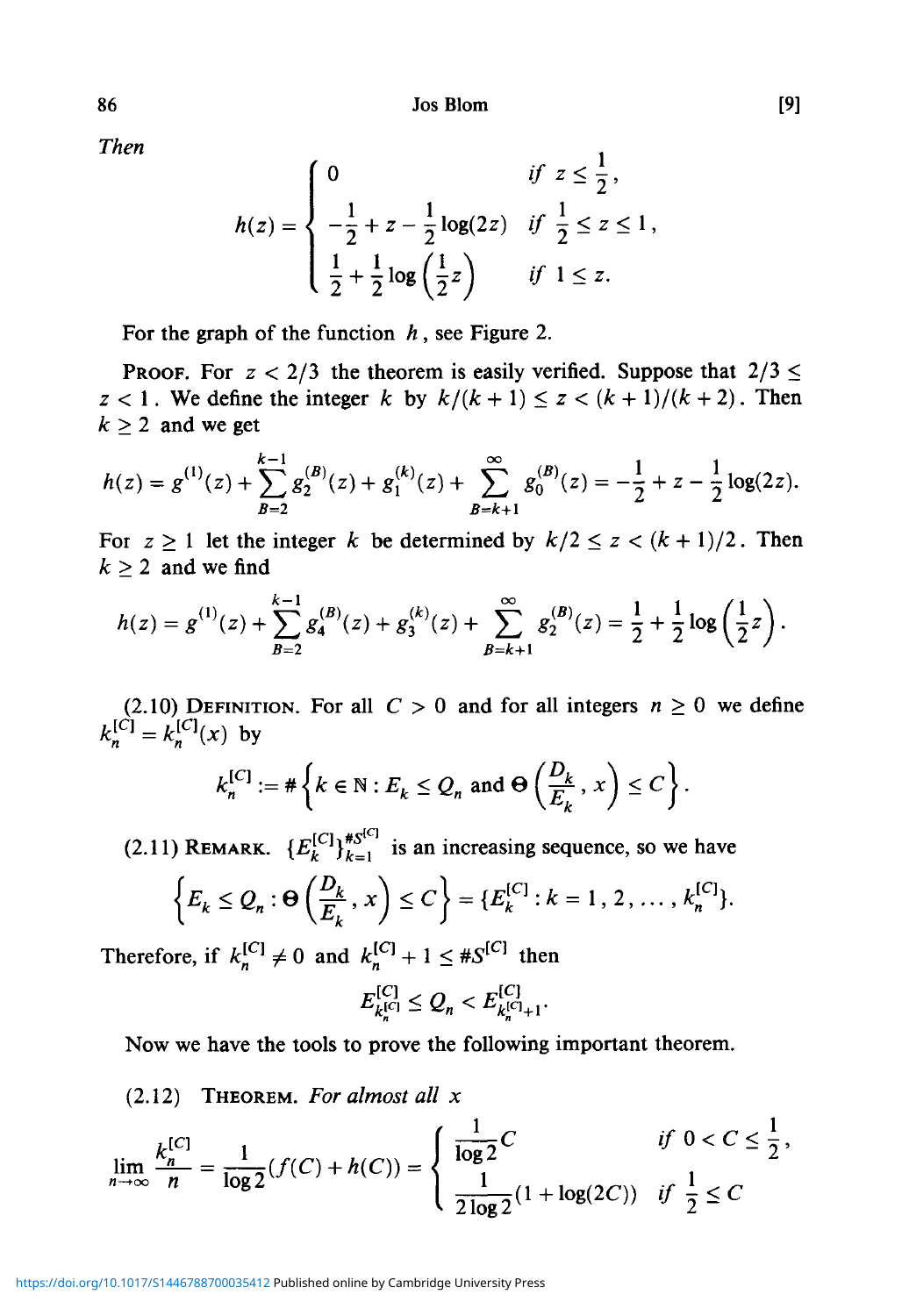Jos Blom [9]

*Then*

$$
h(z) = \begin{cases} 0 & \text{if } z \leq \frac{1}{2}, \\ -\frac{1}{2} + z - \frac{1}{2} \log(2z) & \text{if } \frac{1}{2} \leq z \leq 1, \\ \frac{1}{2} + \frac{1}{2} \log\left(\frac{1}{2}z\right) & \text{if } 1 \leq z. \end{cases}
$$

For the graph of the function *h ,* see Figure 2.

**PROOF.** For  $z < 2/3$  the theorem is easily verified. Suppose that  $2/3 \le$  $z < 1$ . We define the integer *k* by  $k/(k+1) \le z < (k+1)/(k+2)$ . Then  $k \geq 2$  and we get

$$
h(z) = g^{(1)}(z) + \sum_{B=2}^{k-1} g_2^{(B)}(z) + g_1^{(k)}(z) + \sum_{B=k+1}^{\infty} g_0^{(B)}(z) = -\frac{1}{2} + z - \frac{1}{2} \log(2z).
$$

For  $z \ge 1$  let the integer k be determined by  $k/2 \le z < (k+1)/2$ . Then  $k \geq 2$  and we find

$$
h(z) = g^{(1)}(z) + \sum_{B=2}^{k-1} g_4^{(B)}(z) + g_3^{(k)}(z) + \sum_{B=k+1}^{\infty} g_2^{(B)}(z) = \frac{1}{2} + \frac{1}{2} \log \left( \frac{1}{2} z \right).
$$

(2.10) DEFINITION. For all  $C > 0$  and for all integers  $n \ge 0$  we define  $\kappa_n^{[C]} = \kappa_n^{[C]}(x)$  by

$$
k_n^{[C]} := \#\left\{k \in \mathbb{N}: E_k \leq Q_n \text{ and } \Theta\left(\frac{D_k}{E_k}, x\right) \leq C\right\}.
$$

(2.11) REMARK.  ${E_k^{[C]}}_{k=1}^{*}$  is an increasing sequence, so we have  $\left\{E_k \leq Q_n : \Theta\left(\frac{D_k}{F}, x\right) \leq C\right\} = \left\{E_k^{[C]} : k = 1, 2, ..., k_n^{[C]}\right\}.$ 

$$
[-k - \varepsilon_n] \left( E_k, C \right) - \left( \frac{k}{\varepsilon} \right)
$$
\n
$$
F_k
$$
\n
$$
F_k
$$
\n
$$
F_k
$$
\n
$$
F_k
$$
\n
$$
F_k
$$
\n
$$
F_k
$$
\n
$$
F_k
$$
\n
$$
F_k
$$
\n
$$
F_k
$$
\n
$$
F_k
$$
\n
$$
F_k
$$
\n
$$
F_k
$$
\n
$$
F_k
$$
\n
$$
F_k
$$
\n
$$
F_k
$$
\n
$$
F_k
$$
\n
$$
F_k
$$
\n
$$
F_k
$$
\n
$$
F_k
$$
\n
$$
F_k
$$
\n
$$
F_k
$$
\n
$$
F_k
$$
\n
$$
F_k
$$
\n
$$
F_k
$$
\n
$$
F_k
$$
\n
$$
F_k
$$
\n
$$
F_k
$$
\n
$$
F_k
$$
\n
$$
F_k
$$
\n
$$
F_k
$$
\n
$$
F_k
$$
\n
$$
F_k
$$
\n
$$
F_k
$$
\n
$$
F_k
$$
\n
$$
F_k
$$
\n
$$
F_k
$$
\n
$$
F_k
$$
\n
$$
F_k
$$
\n
$$
F_k
$$
\n
$$
F_k
$$
\n
$$
F_k
$$
\n
$$
F_k
$$
\n
$$
F_k
$$
\n
$$
F_k
$$
\n
$$
F_k
$$
\n
$$
F_k
$$
\n
$$
F_k
$$
\n
$$
F_k
$$
\n
$$
F_k
$$
\n
$$
F_k
$$
\n
$$
F_k
$$
\n
$$
F_k
$$
\n
$$
F_k
$$
\n
$$
F_k
$$
\n
$$
F_k
$$
\n
$$
F_k
$$
\n
$$
F_k
$$
\n
$$
F_k
$$
\n
$$
F_k
$$
\n
$$
F_k
$$
\n<

Therefore, if  $k_n^{[C]} \neq 0$  and  $k_n^{[C]} + 1 \leq \#S^{[C]}$  then

$$
E_{k_n^{[C]}}^{[C]} \leq Q_n < E_{k_n^{[C]}+1}^{[C]}.
$$

Now we have the tools to prove the following important theorem.

## (2.12) THEOREM. *For almost all x*

$$
\lim_{n \to \infty} \frac{k_n^{[C]}}{n} = \frac{1}{\log 2} (f(C) + h(C)) = \begin{cases} \frac{1}{\log 2} C & \text{if } 0 < C \le \frac{1}{2}, \\ \frac{1}{2 \log 2} (1 + \log(2C)) & \text{if } \frac{1}{2} \le C \end{cases}
$$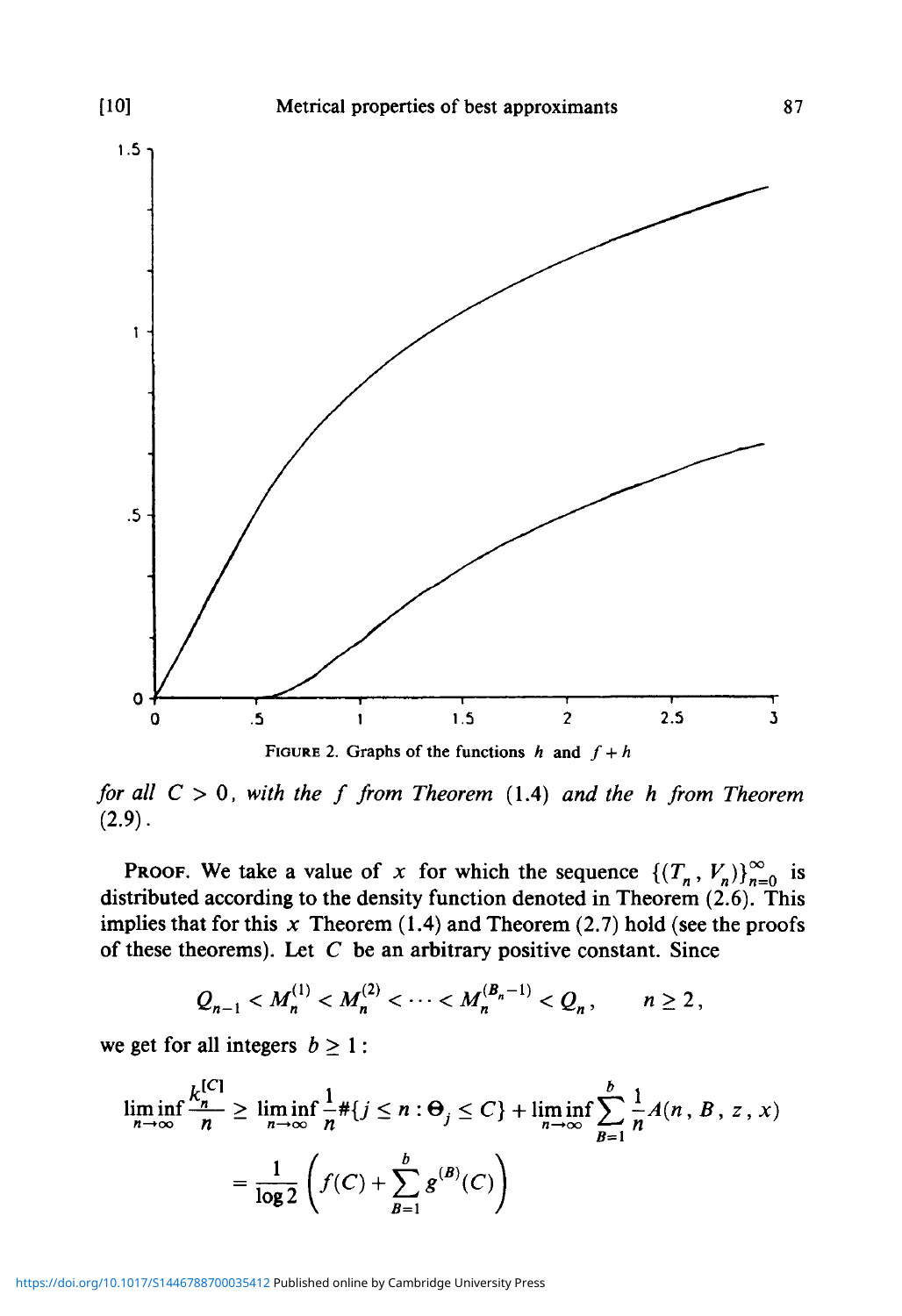

*for all C >* 0, *with the f from Theorem* (1.4) *and the h from Theorem*  $(2.9).$ 

**PROOF.** We take a value of *x* for which the sequence  $\{(T_n, V_n)\}_{n=0}^{\infty}$  is distributed according to the density function denoted in Theorem (2.6). This implies that for this  $x$  Theorem (1.4) and Theorem (2.7) hold (see the proofs of these theorems). Let *C* be an arbitrary positive constant. Since

$$
Q_{n-1} < M_n^{(1)} < M_n^{(2)} < \cdots < M_n^{(B_n-1)} < Q_n
$$
,  $n \ge 2$ ,

we get for all integers  $b \ge 1$ :

$$
\liminf_{n \to \infty} \frac{k_n^{[C]}}{n} \ge \liminf_{n \to \infty} \frac{1}{n} \# \{ j \le n : \Theta_j \le C \} + \liminf_{n \to \infty} \sum_{B=1}^b \frac{1}{n} A(n, B, z, x)
$$

$$
= \frac{1}{\log 2} \left( f(C) + \sum_{B=1}^b g^{(B)}(C) \right)
$$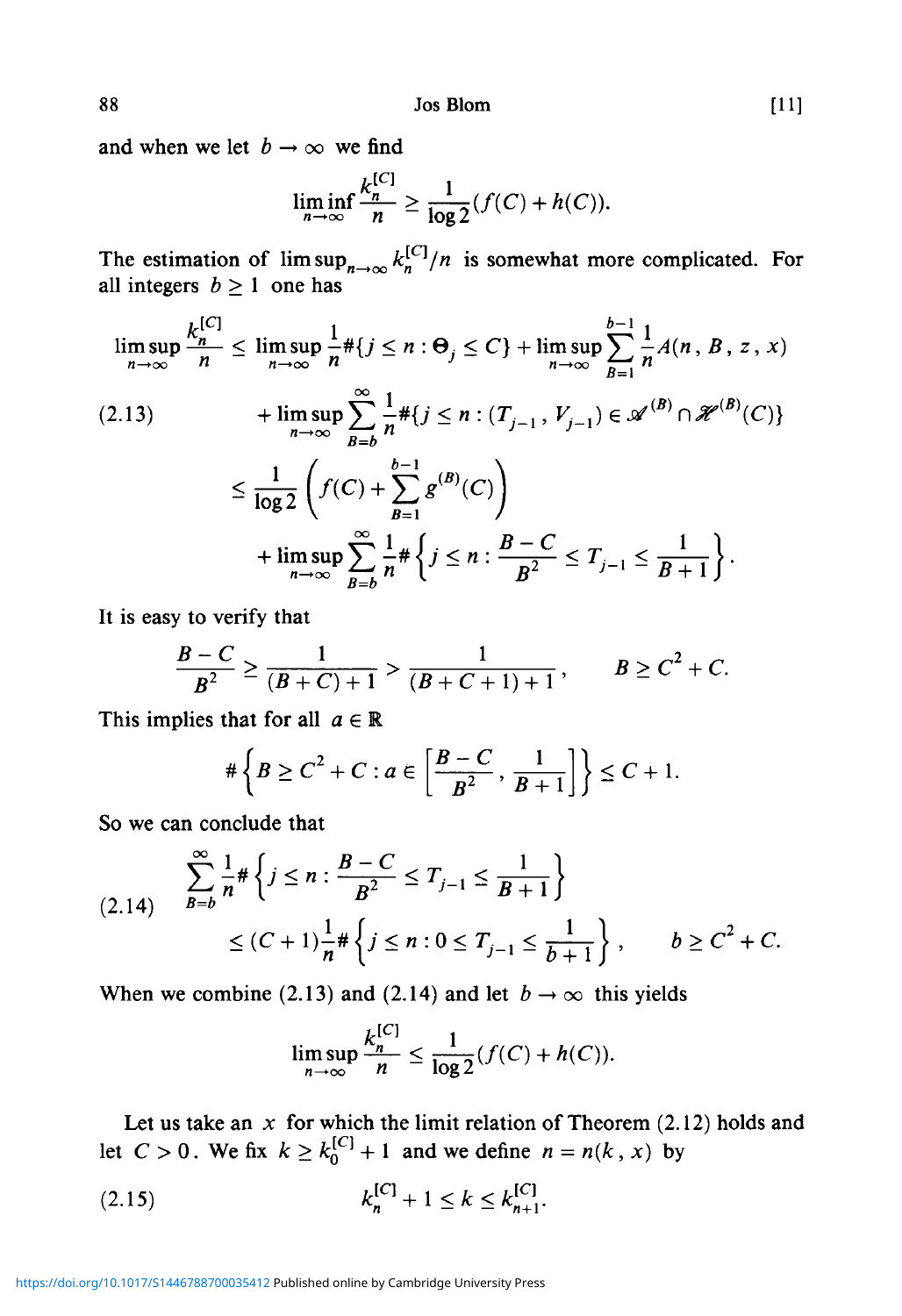and when we let  $b \rightarrow \infty$  we find

$$
\liminf_{n \to \infty} \frac{k_n^{[C]}}{n} \ge \frac{1}{\log 2} (f(C) + h(C)).
$$

The estimation of  $\limsup_{n\to\infty} k_n^{\lfloor C\rfloor}/n$  is somewhat more complicated. For all integers  $b \ge 1$  one has

$$
\limsup_{n \to \infty} \frac{k_n^{[C]}}{n} \le \limsup_{n \to \infty} \frac{1}{n} \# \{ j \le n : \Theta_j \le C \} + \limsup_{n \to \infty} \sum_{B=1}^{b-1} \frac{1}{n} A(n, B, z, x)
$$
\n
$$
(2.13) \qquad + \limsup_{n \to \infty} \sum_{B=b}^{\infty} \frac{1}{n} \# \{ j \le n : (T_{j-1}, V_{j-1}) \in \mathcal{A}^{(B)} \cap \mathcal{H}^{(B)}(C) \}
$$
\n
$$
\le \frac{1}{\log 2} \left( f(C) + \sum_{B=1}^{b-1} g^{(B)}(C) \right)
$$
\n
$$
+ \limsup_{n \to \infty} \sum_{B=b}^{\infty} \frac{1}{n} \# \{ j \le n : \frac{B-C}{B^2} \le T_{j-1} \le \frac{1}{B+1} \}.
$$

It is easy to verify that

$$
\frac{B-C}{B^2} \ge \frac{1}{(B+C)+1} > \frac{1}{(B+C+1)+1}, \qquad B \ge C^2 + C.
$$

This implies that for all  $a \in \mathbb{R}$ 

$$
\#\left\{B\geq C^2+C: a\in \left[\frac{B-C}{B^2},\frac{1}{B+1}\right]\right\}\leq C+1.
$$

So we can conclude that

$$
(2.14) \quad \sum_{B=b}^{\infty} \frac{1}{n} \# \left\{ j \le n : \frac{B-C}{B^2} \le T_{j-1} \le \frac{1}{B+1} \right\} \\ \le (C+1) \frac{1}{n} \# \left\{ j \le n : 0 \le T_{j-1} \le \frac{1}{b+1} \right\}, \qquad b \ge C^2 + C.
$$

When we combine (2.13) and (2.14) and let  $b \rightarrow \infty$  this yields

$$
\limsup_{n\to\infty}\frac{k_n^{\lfloor C\rfloor}}{n}\leq \frac{1}{\log 2}(f(C)+h(C)).
$$

Let us take an *x* for which the limit relation of Theorem (2.12) holds and let  $C > 0$ . We fix  $k \geq k_0^{[C]} + 1$  and we define  $n = n(k, x)$  by

(2.15) 
$$
k_n^{[C]} + 1 \le k \le k_{n+1}^{[C]}.
$$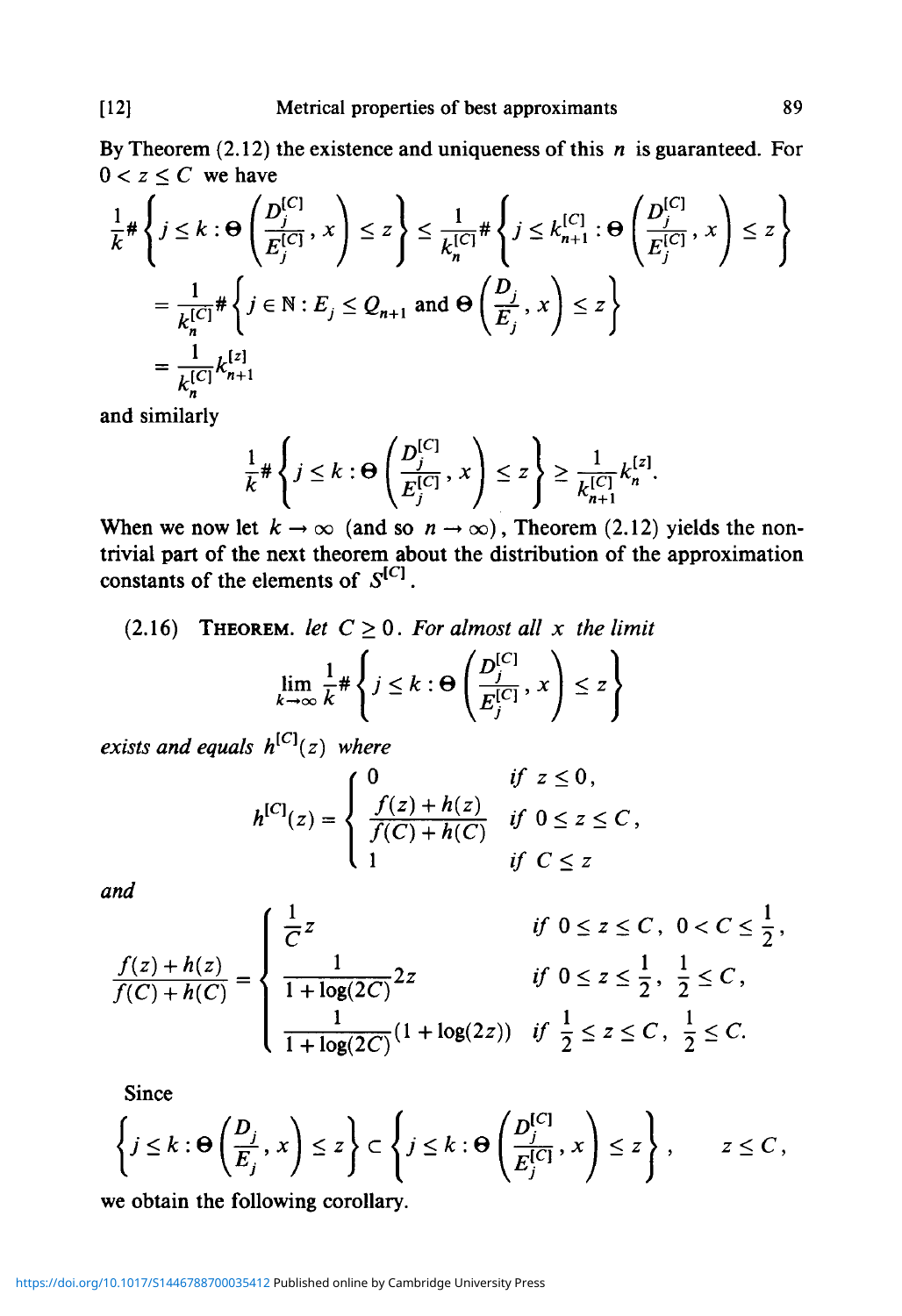By Theorem (2.12) the existence and uniqueness of this *n* is guaranteed. For  $0 < z \leq C$  we have

$$
\frac{1}{k} \# \left\{ j \leq k : \Theta \left( \frac{D_j^{[C]}}{E_j^{[C]}}, x \right) \leq z \right\} \leq \frac{1}{k_n^{[C]}} \# \left\{ j \leq k_{n+1}^{[C]} : \Theta \left( \frac{D_j^{[C]}}{E_j^{[C]}}, x \right) \leq z \right\}
$$
\n
$$
= \frac{1}{k_n^{[C]}} \# \left\{ j \in \mathbb{N} : E_j \leq Q_{n+1} \text{ and } \Theta \left( \frac{D_j}{E_j}, x \right) \leq z \right\}
$$
\n
$$
= \frac{1}{k_n^{[C]}} k_{n+1}^{[z]}
$$

and similarly

$$
\frac{1}{k} \# \left\{ j \leq k : \Theta \left( \frac{D_j^{[C]}}{E_j^{[C]}}, x \right) \leq z \right\} \geq \frac{1}{k_{n+1}^{[C]}} k_n^{[z]}.
$$

When we now let  $k \to \infty$  (and so  $n \to \infty$ ), Theorem (2.12) yields the nontrivial part of the next theorem about the distribution of the approximation constants of the elements of  $S^{[C]}$ .

(2.16) THEOREM. let 
$$
C \ge 0
$$
. For almost all x the limit  
\n
$$
\lim_{k \to \infty} \frac{1}{k} \# \left\{ j \le k : \Theta \left( \frac{D_j^{[C]}}{E_j^{[C]}}, x \right) \le z \right\}
$$

*exists and equals*  $h^{[C]}(z)$  *where* 

*<sup>f</sup>* 1

$$
h^{[C]}(z) = \begin{cases} 0 & \text{if } z \leq 0, \\ \frac{f(z) + h(z)}{f(C) + h(C)} & \text{if } 0 \leq z \leq C, \\ 1 & \text{if } C \leq z \end{cases}
$$

*and*

$$
\frac{f(z) + h(z)}{f(C) + h(C)} = \begin{cases} \frac{1}{C}z & \text{if } 0 \le z \le C, \ 0 < C \le \frac{1}{2}, \\ \frac{1}{1 + \log(2C)} 2z & \text{if } 0 \le z \le \frac{1}{2}, \ \frac{1}{2} \le C, \\ \frac{1}{1 + \log(2C)} (1 + \log(2z)) & \text{if } \frac{1}{2} \le z \le C, \ \frac{1}{2} \le C. \end{cases}
$$

Since

$$
\left\{j\leq k:\Theta\left(\frac{D_j}{E_j},x\right)\leq z\right\}\subset\left\{j\leq k:\Theta\left(\frac{D_j^{[C]}}{E_j^{[C]}},x\right)\leq z\right\},\qquad z\leq C,
$$

we obtain the following corollary.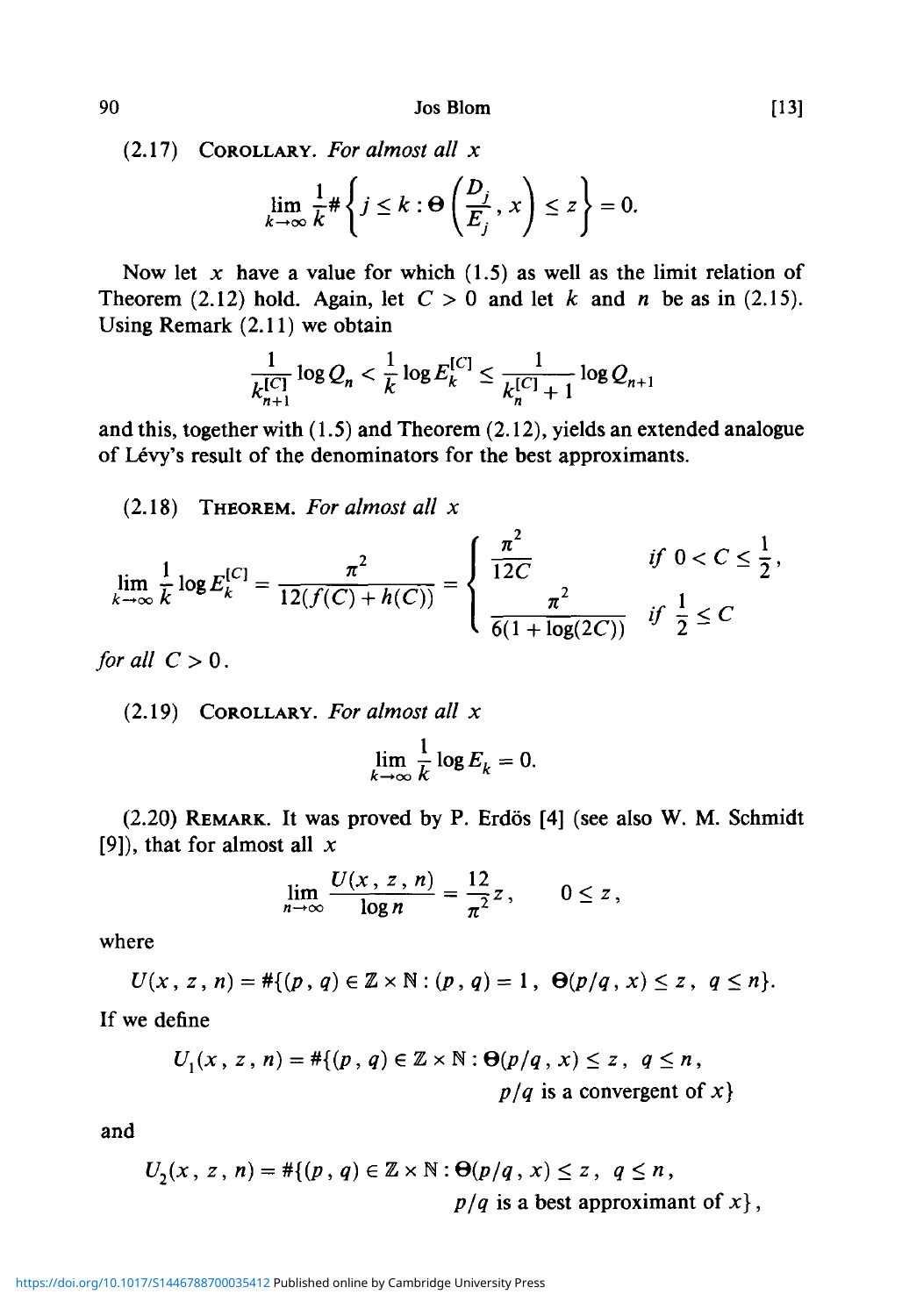90 JosBlom [13]

(2.17) COROLLARY. *For almost all x*

$$
\lim_{k \to \infty} \frac{1}{k} \# \left\{ j \leq k : \Theta \left( \frac{D_j}{E_j}, x \right) \leq z \right\} = 0.
$$

Now let  $x$  have a value for which  $(1.5)$  as well as the limit relation of Theorem (2.12) hold. Again, let  $C > 0$  and let k and n be as in (2.15). Using Remark (2.11) we obtain

$$
\frac{1}{k_{n+1}^{[C]}} \log Q_n < \frac{1}{k} \log E_k^{[C]} \le \frac{1}{k_n^{[C]} + 1} \log Q_{n+1}
$$

and this, together with (1.5) and Theorem (2.12), yields an extended analogue of Lévy's result of the denominators for the best approximants.

(2.18) THEOREM. *For almost all x*

$$
\lim_{k \to \infty} \frac{1}{k} \log E_k^{[C]} = \frac{\pi^2}{12(f(C) + h(C))} = \begin{cases} \frac{\pi^2}{12C} & \text{if } 0 < C \le \frac{1}{2}, \\ \frac{\pi^2}{6(1 + \log(2C))} & \text{if } \frac{1}{2} \le C \end{cases}
$$

*for all*  $C > 0$ .

(2.19) COROLLARY. *For almost all x*

$$
\lim_{k\to\infty}\frac{1}{k}\log E_k=0.
$$

(2.20) REMARK. It was proved by P. Erdos [4] (see also W. M. Schmidt [9]), that for almost all *x*

$$
\lim_{n\to\infty}\frac{U(x,\,z\,,\,n)}{\log n}=\frac{12}{\pi^2}z\,,\qquad 0\leq z\,,
$$

where

$$
U(x, z, n) = #\{(p, q) \in \mathbb{Z} \times \mathbb{N} : (p, q) = 1, \Theta(p/q, x) \leq z, q \leq n\}.
$$

If we define

$$
U_1(x, z, n) = #\{(p, q) \in \mathbb{Z} \times \mathbb{N} : \Theta(p/q, x) \le z, q \le n,
$$
  

$$
p/q \text{ is a convergent of } x\}
$$

and

$$
U_2(x, z, n) = #\{(p, q) \in \mathbb{Z} \times \mathbb{N} : \Theta(p/q, x) \le z, q \le n,
$$
  
 
$$
p/q \text{ is a best approximant of } x\},
$$